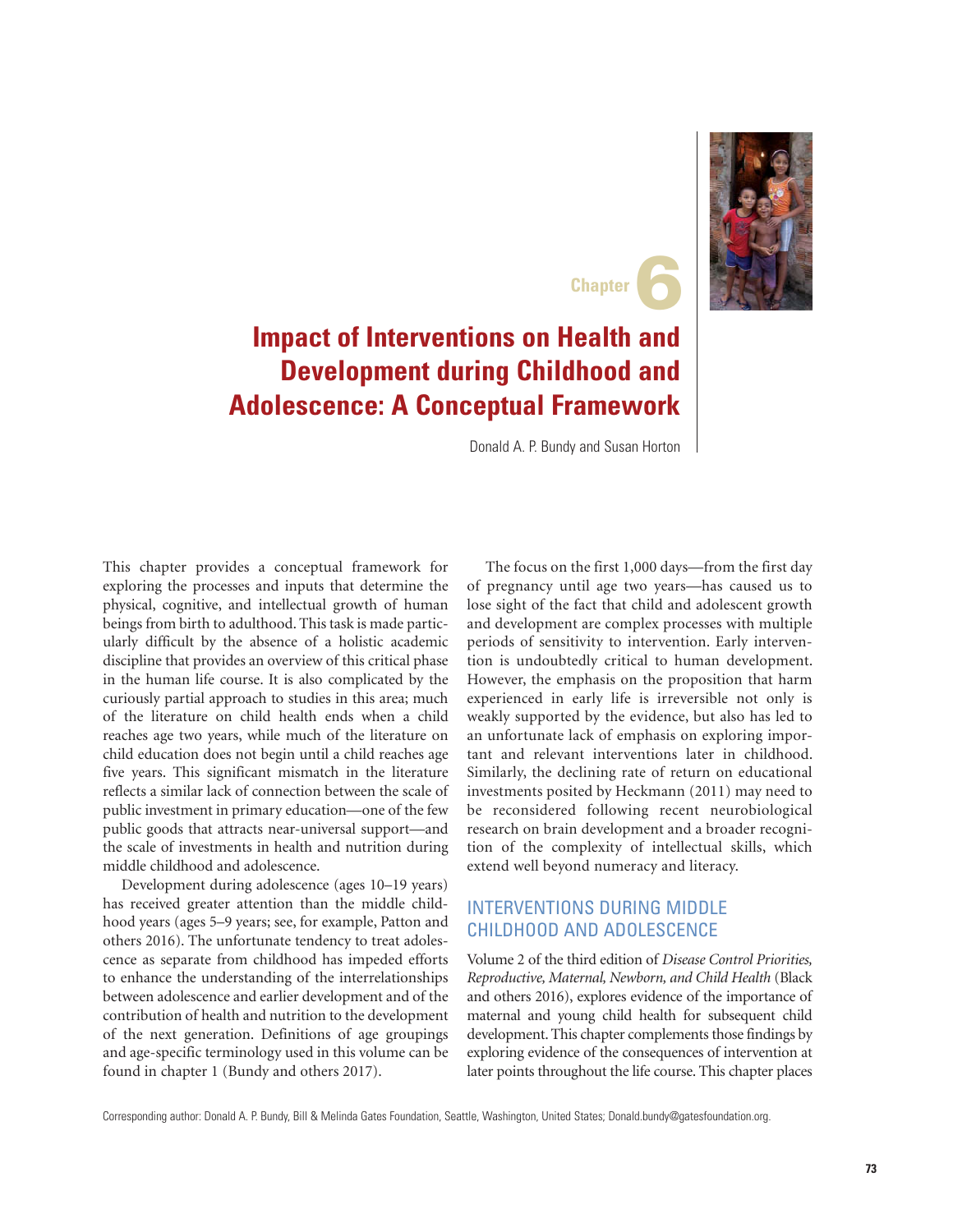



# **Impact of Interventions on Health and Development during Childhood and Adolescence: A Conceptual Framework**

Donald A. P. Bundy and Susan Horton

This chapter provides a conceptual framework for exploring the processes and inputs that determine the physical, cognitive, and intellectual growth of human beings from birth to adulthood. This task is made particularly difficult by the absence of a holistic academic discipline that provides an overview of this critical phase in the human life course. It is also complicated by the curiously partial approach to studies in this area; much of the literature on child health ends when a child reaches age two years, while much of the literature on child education does not begin until a child reaches age five years. This significant mismatch in the literature reflects a similar lack of connection between the scale of public investment in primary education—one of the few public goods that attracts near-universal support—and the scale of investments in health and nutrition during middle childhood and adolescence.

Development during adolescence (ages 10–19 years) has received greater attention than the middle childhood years (ages 5–9 years; see, for example, Patton and others 2016). The unfortunate tendency to treat adolescence as separate from childhood has impeded efforts to enhance the understanding of the interrelationships between adolescence and earlier development and of the contribution of health and nutrition to the development of the next generation. Definitions of age groupings and age-specific terminology used in this volume can be found in chapter 1 (Bundy and others 2017).

The focus on the first 1,000 days—from the first day of pregnancy until age two years—has caused us to lose sight of the fact that child and adolescent growth and development are complex processes with multiple periods of sensitivity to intervention. Early intervention is undoubtedly critical to human development. However, the emphasis on the proposition that harm experienced in early life is irreversible not only is weakly supported by the evidence, but also has led to an unfortunate lack of emphasis on exploring important and relevant interventions later in childhood. Similarly, the declining rate of return on educational investments posited by Heckmann (2011) may need to be reconsidered following recent neurobiological research on brain development and a broader recognition of the complexity of intellectual skills, which extend well beyond numeracy and literacy.

### INTERVENTIONS DURING MIDDLE CHILDHOOD AND ADOLESCENCE

Volume 2 of the third edition of *Disease Control Priorities, Reproductive, Maternal, Newborn, and Child Health* (Black and others 2016), explores evidence of the importance of maternal and young child health for subsequent child development. This chapter complements those findings by exploring evidence of the consequences of intervention at later points throughout the life course. This chapter places

Corresponding author: Donald A. P. Bundy, Bill & Melinda Gates Foundation, Seattle, Washington, United States; Donald.bundy@gatesfoundation.org.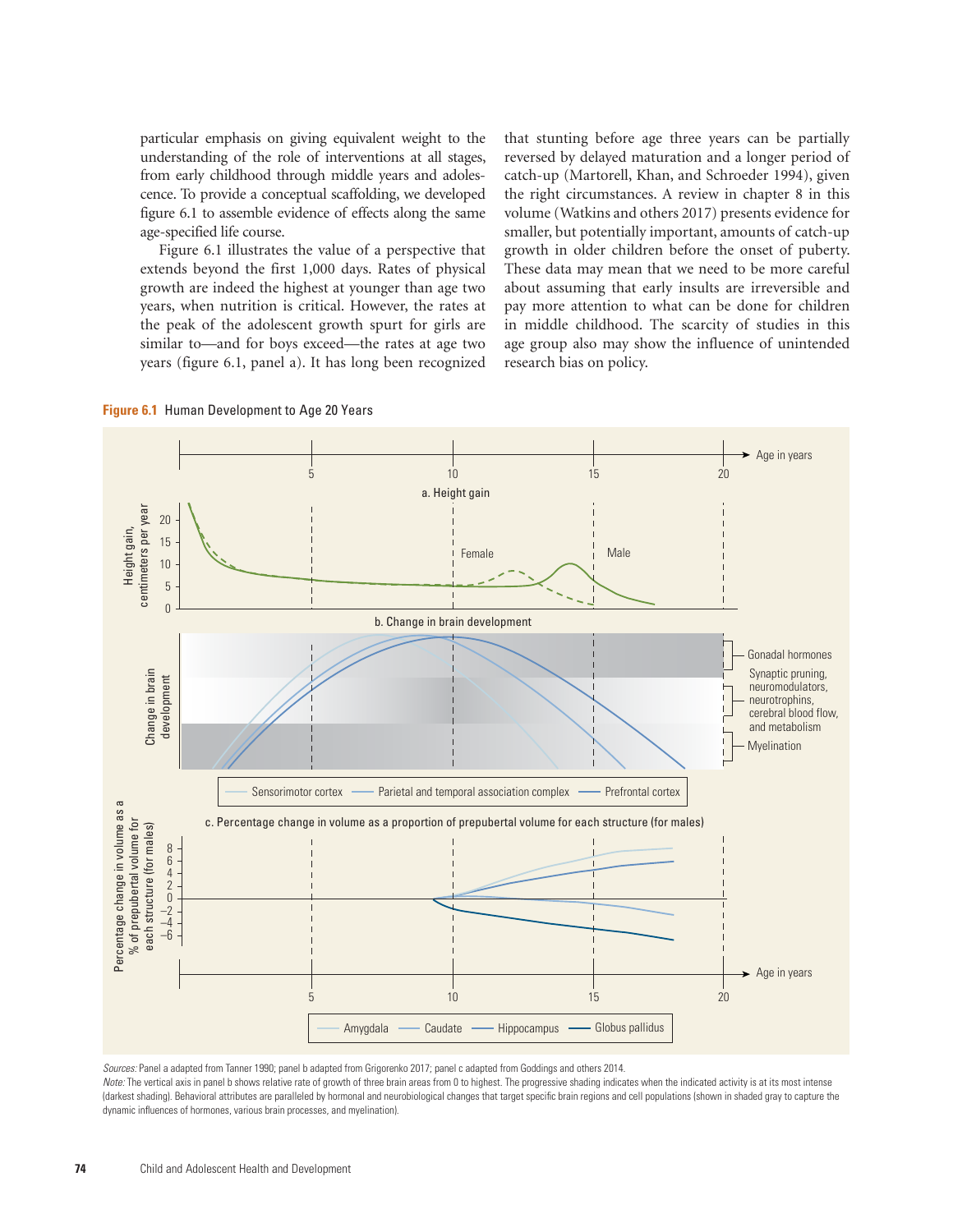particular emphasis on giving equivalent weight to the understanding of the role of interventions at all stages, from early childhood through middle years and adolescence. To provide a conceptual scaffolding, we developed figure 6.1 to assemble evidence of effects along the same age-specified life course.

Figure 6.1 illustrates the value of a perspective that extends beyond the first 1,000 days. Rates of physical growth are indeed the highest at younger than age two years, when nutrition is critical. However, the rates at the peak of the adolescent growth spurt for girls are similar to—and for boys exceed—the rates at age two years (figure 6.1, panel a). It has long been recognized

that stunting before age three years can be partially reversed by delayed maturation and a longer period of catch-up (Martorell, Khan, and Schroeder 1994), given the right circumstances. A review in chapter 8 in this volume (Watkins and others 2017) presents evidence for smaller, but potentially important, amounts of catch-up growth in older children before the onset of puberty. These data may mean that we need to be more careful about assuming that early insults are irreversible and pay more attention to what can be done for children in middle childhood. The scarcity of studies in this age group also may show the influence of unintended research bias on policy.





Sources: Panel a adapted from Tanner 1990; panel b adapted from Grigorenko 2017; panel c adapted from Goddings and others 2014.

Note: The vertical axis in panel b shows relative rate of growth of three brain areas from 0 to highest. The progressive shading indicates when the indicated activity is at its most intense (darkest shading). Behavioral attributes are paralleled by hormonal and neurobiological changes that target specifi c brain regions and cell populations (shown in shaded gray to capture the dynamic influences of hormones, various brain processes, and myelination).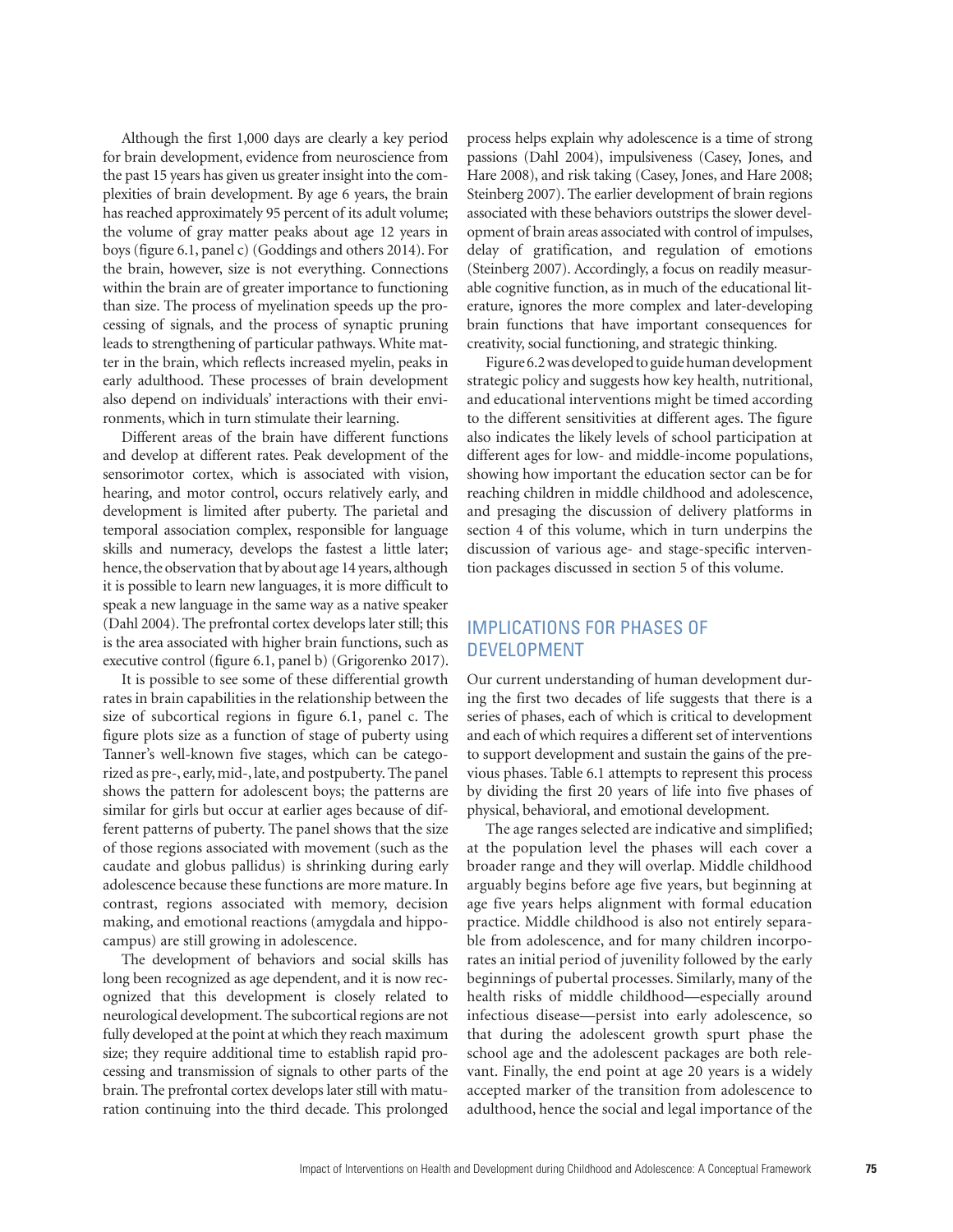Although the first 1,000 days are clearly a key period for brain development, evidence from neuroscience from the past 15 years has given us greater insight into the complexities of brain development. By age 6 years, the brain has reached approximately 95 percent of its adult volume; the volume of gray matter peaks about age 12 years in boys (figure 6.1, panel c) (Goddings and others 2014). For the brain, however, size is not everything. Connections within the brain are of greater importance to functioning than size. The process of myelination speeds up the processing of signals, and the process of synaptic pruning leads to strengthening of particular pathways. White matter in the brain, which reflects increased myelin, peaks in early adulthood. These processes of brain development also depend on individuals' interactions with their environments, which in turn stimulate their learning.

Different areas of the brain have different functions and develop at different rates. Peak development of the sensorimotor cortex, which is associated with vision, hearing, and motor control, occurs relatively early, and development is limited after puberty. The parietal and temporal association complex, responsible for language skills and numeracy, develops the fastest a little later; hence, the observation that by about age 14 years, although it is possible to learn new languages, it is more difficult to speak a new language in the same way as a native speaker (Dahl 2004). The prefrontal cortex develops later still; this is the area associated with higher brain functions, such as executive control (figure 6.1, panel b) (Grigorenko 2017).

It is possible to see some of these differential growth rates in brain capabilities in the relationship between the size of subcortical regions in figure 6.1, panel c. The figure plots size as a function of stage of puberty using Tanner's well-known five stages, which can be categorized as pre-, early, mid-, late, and postpuberty. The panel shows the pattern for adolescent boys; the patterns are similar for girls but occur at earlier ages because of different patterns of puberty. The panel shows that the size of those regions associated with movement (such as the caudate and globus pallidus) is shrinking during early adolescence because these functions are more mature. In contrast, regions associated with memory, decision making, and emotional reactions (amygdala and hippocampus) are still growing in adolescence.

The development of behaviors and social skills has long been recognized as age dependent, and it is now recognized that this development is closely related to neurological development. The subcortical regions are not fully developed at the point at which they reach maximum size; they require additional time to establish rapid processing and transmission of signals to other parts of the brain. The prefrontal cortex develops later still with maturation continuing into the third decade. This prolonged

process helps explain why adolescence is a time of strong passions (Dahl 2004), impulsiveness (Casey, Jones, and Hare 2008), and risk taking (Casey, Jones, and Hare 2008; Steinberg 2007). The earlier development of brain regions associated with these behaviors outstrips the slower development of brain areas associated with control of impulses, delay of gratification, and regulation of emotions (Steinberg 2007). Accordingly, a focus on readily measurable cognitive function, as in much of the educational literature, ignores the more complex and later-developing brain functions that have important consequences for creativity, social functioning, and strategic thinking.

Figure 6.2 was developed to guide human development strategic policy and suggests how key health, nutritional, and educational interventions might be timed according to the different sensitivities at different ages. The figure also indicates the likely levels of school participation at different ages for low- and middle-income populations, showing how important the education sector can be for reaching children in middle childhood and adolescence, and presaging the discussion of delivery platforms in section 4 of this volume, which in turn underpins the discussion of various age- and stage-specific intervention packages discussed in section 5 of this volume.

## IMPLICATIONS FOR PHASES OF DEVELOPMENT

Our current understanding of human development during the first two decades of life suggests that there is a series of phases, each of which is critical to development and each of which requires a different set of interventions to support development and sustain the gains of the previous phases. Table 6.1 attempts to represent this process by dividing the first 20 years of life into five phases of physical, behavioral, and emotional development.

The age ranges selected are indicative and simplified; at the population level the phases will each cover a broader range and they will overlap. Middle childhood arguably begins before age five years, but beginning at age five years helps alignment with formal education practice. Middle childhood is also not entirely separable from adolescence, and for many children incorporates an initial period of juvenility followed by the early beginnings of pubertal processes. Similarly, many of the health risks of middle childhood—especially around infectious disease—persist into early adolescence, so that during the adolescent growth spurt phase the school age and the adolescent packages are both relevant. Finally, the end point at age 20 years is a widely accepted marker of the transition from adolescence to adulthood, hence the social and legal importance of the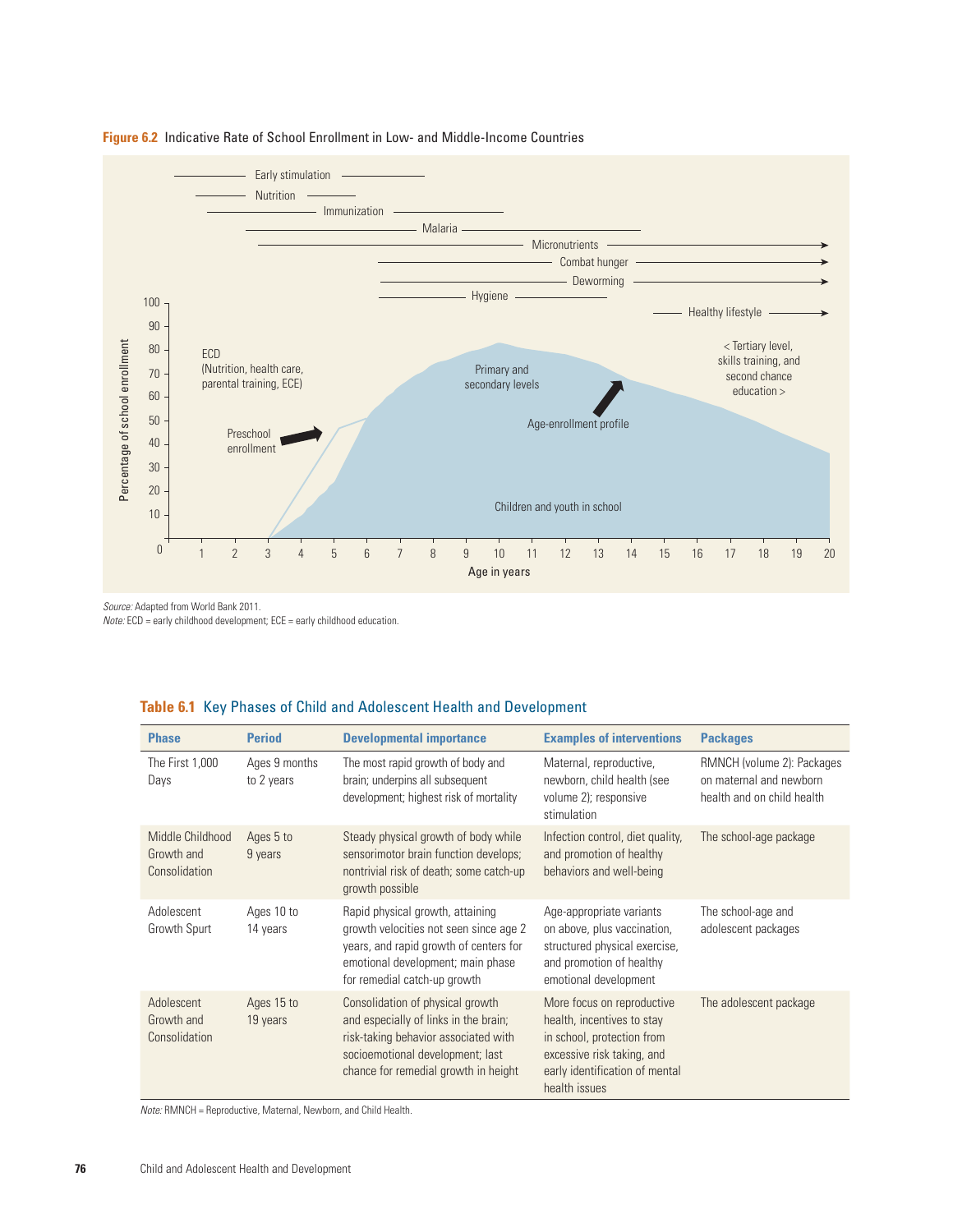

**Figure 6.2** Indicative Rate of School Enrollment in Low- and Middle-Income Countries

Source: Adapted from World Bank 2011.

Note: ECD = early childhood development; ECE = early childhood education.

|  |  |  |  |  |  | Table 6.1 Key Phases of Child and Adolescent Health and Development |
|--|--|--|--|--|--|---------------------------------------------------------------------|
|--|--|--|--|--|--|---------------------------------------------------------------------|

| <b>Phase</b>                                    | <b>Period</b>               | <b>Developmental importance</b>                                                                                                                                                               | <b>Examples of interventions</b>                                                                                                                                        | <b>Packages</b>                                                                     |
|-------------------------------------------------|-----------------------------|-----------------------------------------------------------------------------------------------------------------------------------------------------------------------------------------------|-------------------------------------------------------------------------------------------------------------------------------------------------------------------------|-------------------------------------------------------------------------------------|
| The First 1,000<br>Days                         | Ages 9 months<br>to 2 years | The most rapid growth of body and<br>brain; underpins all subsequent<br>development; highest risk of mortality                                                                                | Maternal, reproductive,<br>newborn, child health (see<br>volume 2); responsive<br>stimulation                                                                           | RMNCH (volume 2): Packages<br>on maternal and newborn<br>health and on child health |
| Middle Childhood<br>Growth and<br>Consolidation | Ages 5 to<br>9 years        | Steady physical growth of body while<br>sensorimotor brain function develops;<br>nontrivial risk of death; some catch-up<br>growth possible                                                   | Infection control, diet quality,<br>and promotion of healthy<br>behaviors and well-being                                                                                | The school-age package                                                              |
| Adolescent<br>Growth Spurt                      | Ages 10 to<br>14 years      | Rapid physical growth, attaining<br>growth velocities not seen since age 2<br>years, and rapid growth of centers for<br>emotional development; main phase<br>for remedial catch-up growth     | Age-appropriate variants<br>on above, plus vaccination,<br>structured physical exercise,<br>and promotion of healthy<br>emotional development                           | The school-age and<br>adolescent packages                                           |
| Adolescent<br>Growth and<br>Consolidation       | Ages 15 to<br>19 years      | Consolidation of physical growth<br>and especially of links in the brain;<br>risk-taking behavior associated with<br>socioemotional development; last<br>chance for remedial growth in height | More focus on reproductive<br>health, incentives to stay<br>in school, protection from<br>excessive risk taking, and<br>early identification of mental<br>health issues | The adolescent package                                                              |

Note: RMNCH = Reproductive, Maternal, Newborn, and Child Health.